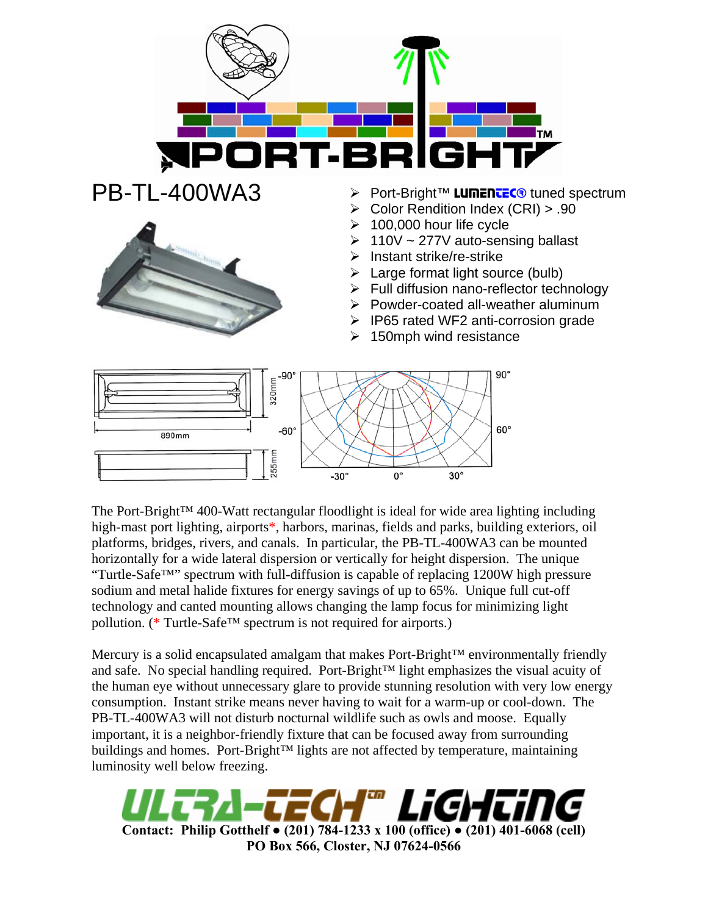

- Port-Bright™ LUMENTEC<sup>®</sup> tuned spectrum
- $\triangleright$  Color Rendition Index (CRI) > .90
- $\geq 100,000$  hour life cycle
- $\geq 110V \sim 277V$  auto-sensing ballast
- $\blacktriangleright$  Instant strike/re-strike
- $\triangleright$  Large format light source (bulb)
- $\triangleright$  Full diffusion nano-reflector technology
- $\triangleright$  Powder-coated all-weather aluminum
- ¾ IP65 rated WF2 anti-corrosion grade
- $\geq 150$ mph wind resistance



The Port-Bright™ 400-Watt rectangular floodlight is ideal for wide area lighting including high-mast port lighting, airports\*, harbors, marinas, fields and parks, building exteriors, oil platforms, bridges, rivers, and canals. In particular, the PB-TL-400WA3 can be mounted horizontally for a wide lateral dispersion or vertically for height dispersion. The unique "Turtle-Safe™" spectrum with full-diffusion is capable of replacing 1200W high pressure sodium and metal halide fixtures for energy savings of up to 65%. Unique full cut-off technology and canted mounting allows changing the lamp focus for minimizing light pollution. (\* Turtle-Safe™ spectrum is not required for airports.)

Mercury is a solid encapsulated amalgam that makes Port-Bright™ environmentally friendly and safe. No special handling required. Port-Bright™ light emphasizes the visual acuity of the human eye without unnecessary glare to provide stunning resolution with very low energy consumption. Instant strike means never having to wait for a warm-up or cool-down. The PB-TL-400WA3 will not disturb nocturnal wildlife such as owls and moose. Equally important, it is a neighbor-friendly fixture that can be focused away from surrounding buildings and homes. Port-Bright™ lights are not affected by temperature, maintaining luminosity well below freezing.